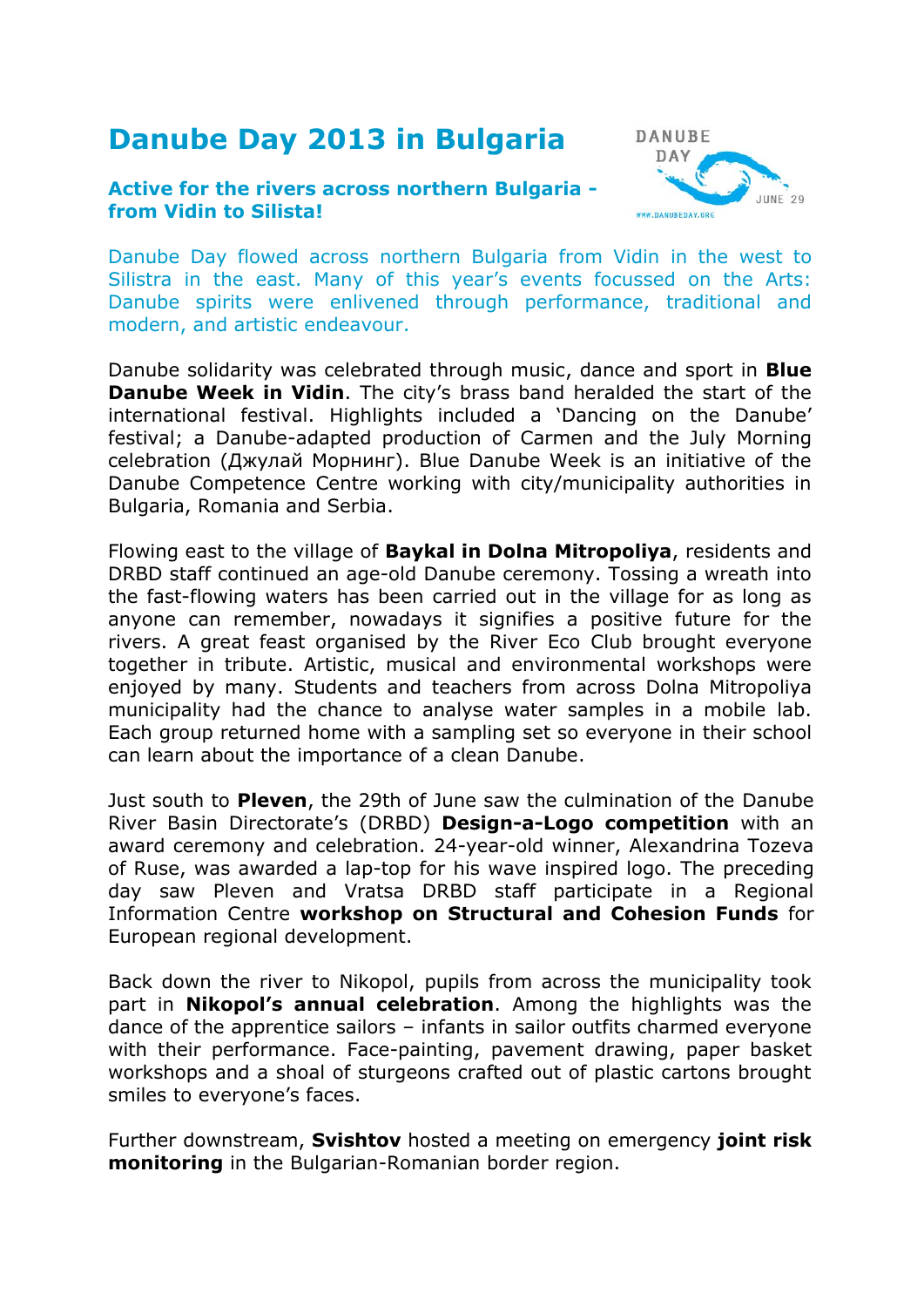## **Danube Day 2013 in Bulgaria**

## **Active for the rivers across northern Bulgaria from Vidin to Silista!**



Danube Day flowed across northern Bulgaria from Vidin in the west to Silistra in the east. Many of this year's events focussed on the Arts: Danube spirits were enlivened through performance, traditional and modern, and artistic endeavour.

Danube solidarity was celebrated through music, dance and sport in **Blue Danube Week in Vidin**. The city's brass band heralded the start of the international festival. Highlights included a 'Dancing on the Danube' festival; a Danube-adapted production of Carmen and the July Morning celebration (Джулай Морнинг). Blue Danube Week is an initiative of the Danube Competence Centre working with city/municipality authorities in Bulgaria, Romania and Serbia.

Flowing east to the village of **Baykal in Dolna Mitropoliya**, residents and DRBD staff continued an age-old Danube ceremony. Tossing a wreath into the fast-flowing waters has been carried out in the village for as long as anyone can remember, nowadays it signifies a positive future for the rivers. A great feast organised by the River Eco Club brought everyone together in tribute. Artistic, musical and environmental workshops were enjoyed by many. Students and teachers from across Dolna Mitropoliya municipality had the chance to analyse water samples in a mobile lab. Each group returned home with a sampling set so everyone in their school can learn about the importance of a clean Danube.

Just south to **Pleven**, the 29th of June saw the culmination of the Danube River Basin Directorate's (DRBD) **Design-a-Logo competition** with an award ceremony and celebration. 24-year-old winner, Alexandrina Tozeva of Ruse, was awarded a lap-top for his wave inspired logo. The preceding day saw Pleven and Vratsa DRBD staff participate in a Regional Information Centre **workshop on Structural and Cohesion Funds** for European regional development.

Back down the river to Nikopol, pupils from across the municipality took part in **Nikopol's annual celebration**. Among the highlights was the dance of the apprentice sailors – infants in sailor outfits charmed everyone with their performance. Face-painting, pavement drawing, paper basket workshops and a shoal of sturgeons crafted out of plastic cartons brought smiles to everyone's faces.

Further downstream, **Svishtov** hosted a meeting on emergency **joint risk monitoring** in the Bulgarian-Romanian border region.